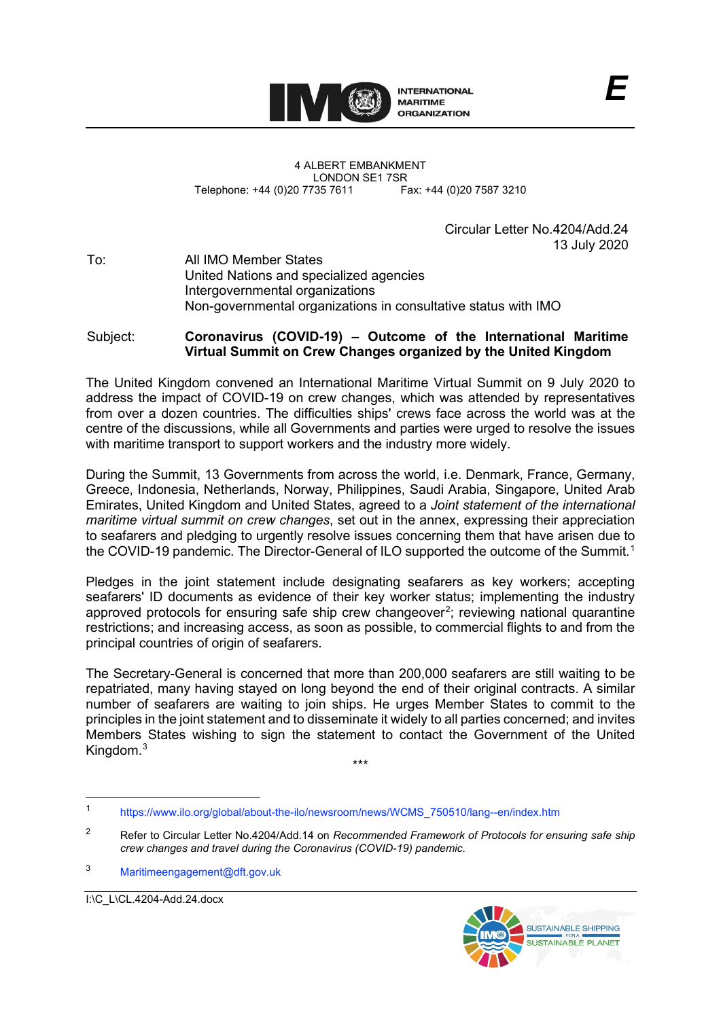

4 ALBERT EMBANKMENT LONDON SE1 7SR<br>735 7611 Fax: +44 (0)20 7587 3210 Telephone: +44 (0)20 7735 7611

> Circular Letter No.4204/Add.24 13 July 2020

To: All IMO Member States United Nations and specialized agencies Intergovernmental organizations Non-governmental organizations in consultative status with IMO

## Subject: **Coronavirus (COVID-19) – Outcome of the International Maritime Virtual Summit on Crew Changes organized by the United Kingdom**

The United Kingdom convened an International Maritime Virtual Summit on 9 July 2020 to address the impact of COVID-19 on crew changes, which was attended by representatives from over a dozen countries. The difficulties shipsʹ crews face across the world was at the centre of the discussions, while all Governments and parties were urged to resolve the issues with maritime transport to support workers and the industry more widely.

During the Summit, 13 Governments from across the world, i.e. Denmark, France, Germany, Greece, Indonesia, Netherlands, Norway, Philippines, Saudi Arabia, Singapore, United Arab Emirates, United Kingdom and United States, agreed to a *Joint statement of the international maritime virtual summit on crew changes*, set out in the annex, expressing their appreciation to seafarers and pledging to urgently resolve issues concerning them that have arisen due to the COVID-19 pandemic. The Director-General of ILO supported the outcome of the Summit. [1](#page-0-0)

Pledges in the joint statement include designating seafarers as key workers; accepting seafarers' ID documents as evidence of their key worker status; implementing the industry approved protocols for ensuring safe ship crew changeover<sup>[2](#page-0-1)</sup>; reviewing national quarantine restrictions; and increasing access, as soon as possible, to commercial flights to and from the principal countries of origin of seafarers.

The Secretary-General is concerned that more than 200,000 seafarers are still waiting to be repatriated, many having stayed on long beyond the end of their original contracts. A similar number of seafarers are waiting to join ships. He urges Member States to commit to the principles in the joint statement and to disseminate it widely to all parties concerned; and invites Members States wishing to sign the statement to contact the Government of the United Kingdom. [3](#page-0-2)



<sup>\*\*\*</sup>

<span id="page-0-0"></span><sup>1</sup> [https://www.ilo.org/global/about-the-ilo/newsroom/news/WCMS\\_750510/lang--en/index.htm](https://www.ilo.org/global/about-the-ilo/newsroom/news/WCMS_750510/lang--en/index.htm)

<span id="page-0-1"></span><sup>2</sup> Refer to Circular Letter No.4204/Add.14 on *Recommended Framework of Protocols for ensuring safe ship crew changes and travel during the Coronavirus (COVID-19) pandemic.*

<span id="page-0-2"></span><sup>3</sup> [Maritimeengagement@dft.gov.uk](mailto:Maritimeengagement@dft.gov.uk)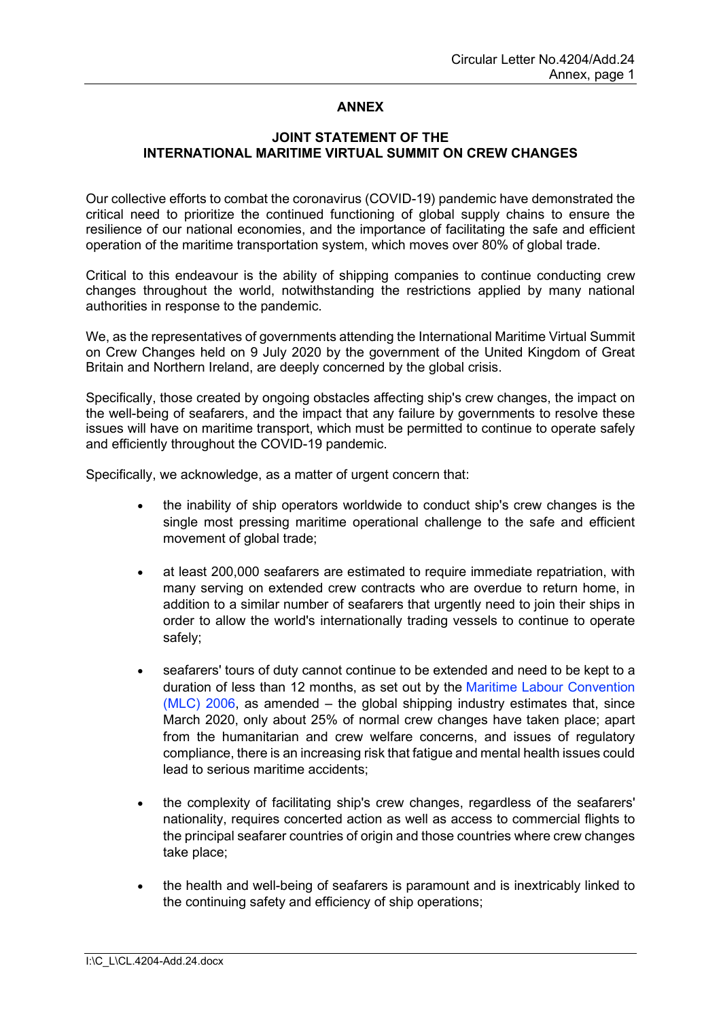## **ANNEX**

## **JOINT STATEMENT OF THE INTERNATIONAL MARITIME VIRTUAL SUMMIT ON CREW CHANGES**

Our collective efforts to combat the coronavirus (COVID-19) pandemic have demonstrated the critical need to prioritize the continued functioning of global supply chains to ensure the resilience of our national economies, and the importance of facilitating the safe and efficient operation of the maritime transportation system, which moves over 80% of global trade.

Critical to this endeavour is the ability of shipping companies to continue conducting crew changes throughout the world, notwithstanding the restrictions applied by many national authorities in response to the pandemic.

We, as the representatives of governments attending the International Maritime Virtual Summit on Crew Changes held on 9 July 2020 by the government of the United Kingdom of Great Britain and Northern Ireland, are deeply concerned by the global crisis.

Specifically, those created by ongoing obstacles affecting shipʹs crew changes, the impact on the well-being of seafarers, and the impact that any failure by governments to resolve these issues will have on maritime transport, which must be permitted to continue to operate safely and efficiently throughout the COVID-19 pandemic.

Specifically, we acknowledge, as a matter of urgent concern that:

- the inability of ship operators worldwide to conduct shipʹs crew changes is the single most pressing maritime operational challenge to the safe and efficient movement of global trade;
- at least 200,000 seafarers are estimated to require immediate repatriation, with many serving on extended crew contracts who are overdue to return home, in addition to a similar number of seafarers that urgently need to join their ships in order to allow the world's internationally trading vessels to continue to operate safely;
- seafarersʹ tours of duty cannot continue to be extended and need to be kept to a duration of less than 12 months, as set out by the [Maritime Labour Convention](https://www.gov.uk/seafarer-working-and-living-rights/maritime-labour-convention)  [\(MLC\) 2006,](https://www.gov.uk/seafarer-working-and-living-rights/maritime-labour-convention) as amended – the global shipping industry estimates that, since March 2020, only about 25% of normal crew changes have taken place; apart from the humanitarian and crew welfare concerns, and issues of regulatory compliance, there is an increasing risk that fatigue and mental health issues could lead to serious maritime accidents;
- the complexity of facilitating ship's crew changes, regardless of the seafarers' nationality, requires concerted action as well as access to commercial flights to the principal seafarer countries of origin and those countries where crew changes take place;
- the health and well-being of seafarers is paramount and is inextricably linked to the continuing safety and efficiency of ship operations;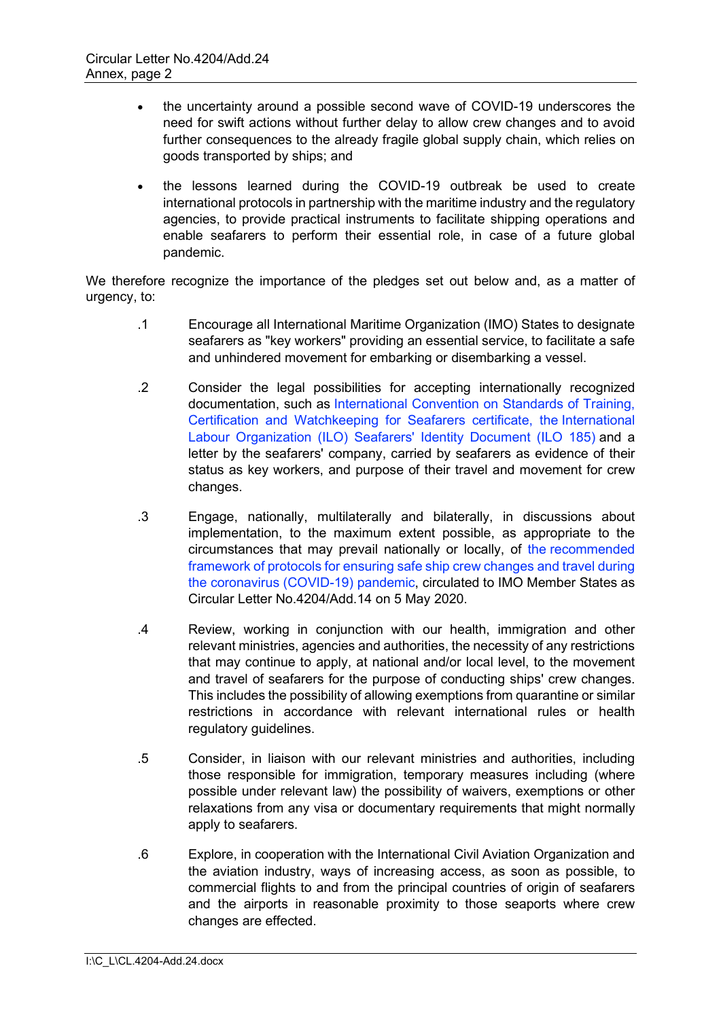- the uncertainty around a possible second wave of COVID-19 underscores the need for swift actions without further delay to allow crew changes and to avoid further consequences to the already fragile global supply chain, which relies on goods transported by ships; and
- the lessons learned during the COVID-19 outbreak be used to create international protocols in partnership with the maritime industry and the regulatory agencies, to provide practical instruments to facilitate shipping operations and enable seafarers to perform their essential role, in case of a future global pandemic.

We therefore recognize the importance of the pledges set out below and, as a matter of urgency, to:

- .1 Encourage all International Maritime Organization (IMO) States to designate seafarers as "key workers" providing an essential service, to facilitate a safe and unhindered movement for embarking or disembarking a vessel.
- .2 Consider the legal possibilities for accepting internationally recognized documentation, such as [International Convention on Standards of Training,](https://www.gov.uk/guidance/uk-seafarer-careers-training-provision-and-information)  [Certification and Watchkeeping for Seafarers certificate,](https://www.gov.uk/guidance/uk-seafarer-careers-training-provision-and-information) the [International](https://www.ilo.org/global/standards/maritime-labour-convention/text/WCMS_162321/lang--en/index.htm)  [Labour Organization \(ILO\) Seafarers](https://www.ilo.org/global/standards/maritime-labour-convention/text/WCMS_162321/lang--en/index.htm)' Identity Document (ILO 185) and a letter by the seafarers' company, carried by seafarers as evidence of their status as key workers, and purpose of their travel and movement for crew changes.
- .3 Engage, nationally, multilaterally and bilaterally, in discussions about implementation, to the maximum extent possible, as appropriate to the circumstances that may prevail nationally or locally, of the [recommended](http://www.imo.org/en/MediaCentre/HotTopics/Documents/COVID%20CL%204204%20adds/Circular%20Letter%20No.4204-Add.14%20-%20Coronavirus%20(Covid-19)%20-%20Recommended%20Framework%20Of%20Protocols.pdf)  [framework of protocols for ensuring safe ship crew changes and travel during](http://www.imo.org/en/MediaCentre/HotTopics/Documents/COVID%20CL%204204%20adds/Circular%20Letter%20No.4204-Add.14%20-%20Coronavirus%20(Covid-19)%20-%20Recommended%20Framework%20Of%20Protocols.pdf)  [the coronavirus \(COVID-19\) pandemic,](http://www.imo.org/en/MediaCentre/HotTopics/Documents/COVID%20CL%204204%20adds/Circular%20Letter%20No.4204-Add.14%20-%20Coronavirus%20(Covid-19)%20-%20Recommended%20Framework%20Of%20Protocols.pdf) circulated to IMO Member States as Circular Letter No.4204/Add.14 on 5 May 2020.
- .4 Review, working in conjunction with our health, immigration and other relevant ministries, agencies and authorities, the necessity of any restrictions that may continue to apply, at national and/or local level, to the movement and travel of seafarers for the purpose of conducting ships' crew changes. This includes the possibility of allowing exemptions from quarantine or similar restrictions in accordance with relevant international rules or health regulatory guidelines.
- .5 Consider, in liaison with our relevant ministries and authorities, including those responsible for immigration, temporary measures including (where possible under relevant law) the possibility of waivers, exemptions or other relaxations from any visa or documentary requirements that might normally apply to seafarers.
- .6 Explore, in cooperation with the International Civil Aviation Organization and the aviation industry, ways of increasing access, as soon as possible, to commercial flights to and from the principal countries of origin of seafarers and the airports in reasonable proximity to those seaports where crew changes are effected.